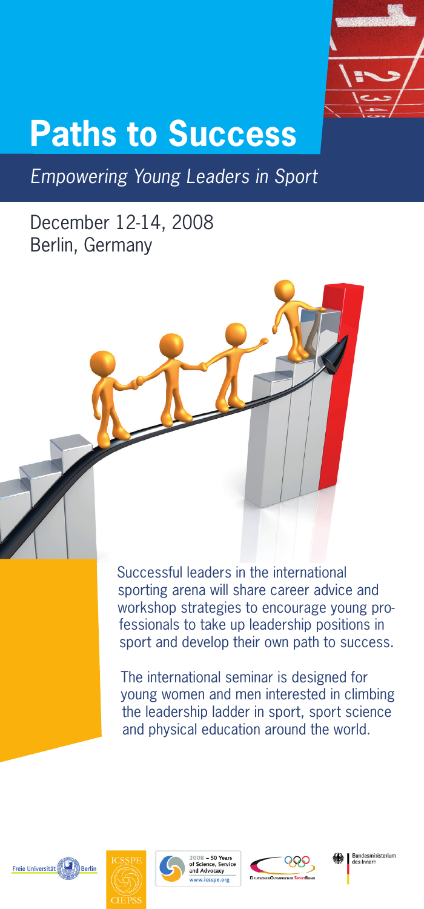

## **Berlin, Germany Paths to Success**

*Empowering Young Leaders in Sport*

### December 12-14, 2008 Berlin, Germany

Successful leaders in the international sporting arena will share career advice and workshop strategies to encourage young professionals to take up leadership positions in sport and develop their own path to success.

The international seminar is designed for young women and men interested in climbing the leadership ladder in sport, sport science and physical education around the world.